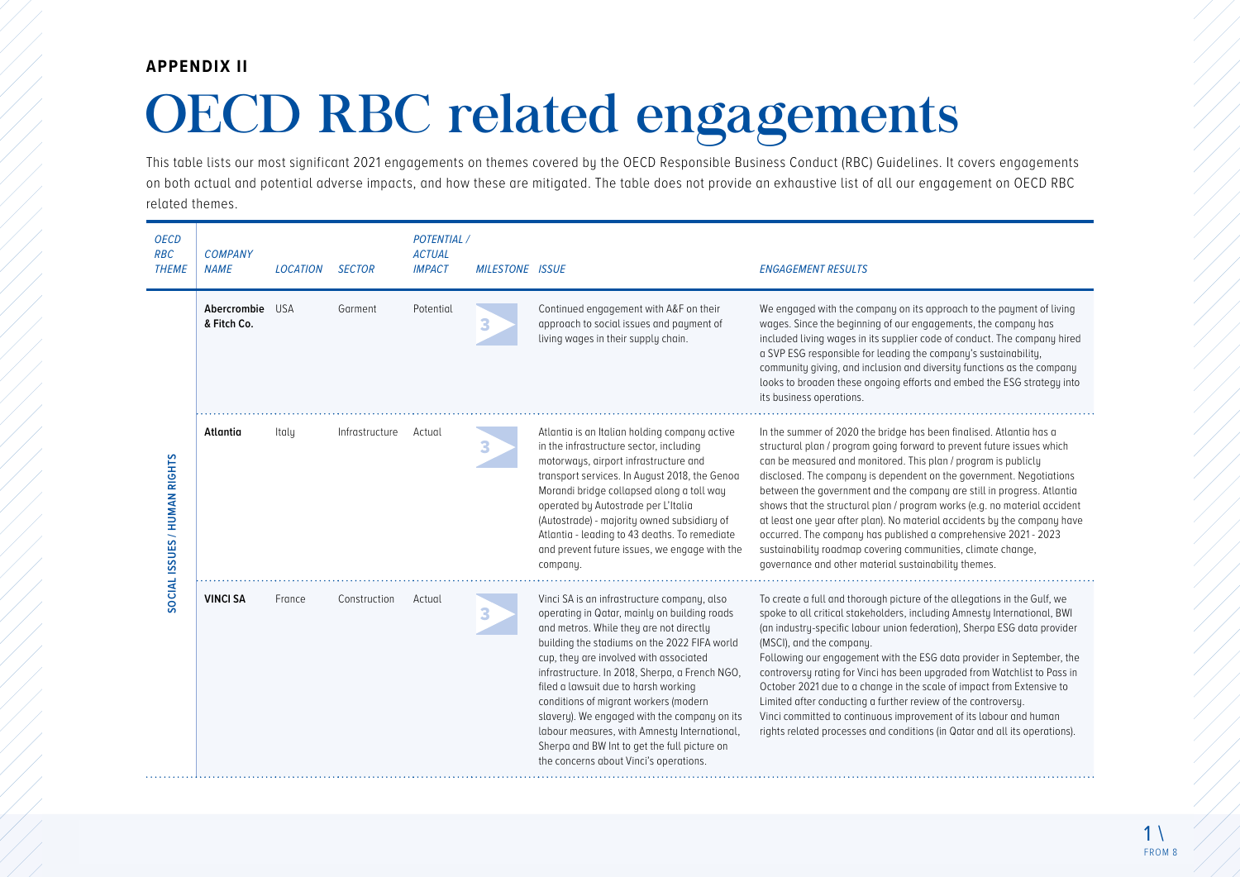## **APPENDIX II**

## OECD RBC related engagements

This table lists our most significant 2021 engagements on themes covered by the OECD Responsible Business Conduct (RBC) Guidelines. It covers engagements on both actual and potential adverse impacts, and how these are mitigated. The table does not provide an exhaustive list of all our engagement on OECD RBC related themes.

| <b>OECD</b><br><b>RBC</b><br><b>THEME</b> | <b>COMPANY</b><br><b>NAME</b>  | <b>LOCATION</b> | <b>SECTOR</b>  | <b>POTENTIAL</b> /<br><b>ACTUAL</b><br><b>IMPACT</b> | <b>MILESTONE ISSUE</b> |                                                                                                                                                                                                                                                                                                                                                                                                                                                                                                                                                               | <b>ENGAGEMENT RESULTS</b>                                                                                                                                                                                                                                                                                                                                                                                                                                                                                                                                                                                                                                                                                            |
|-------------------------------------------|--------------------------------|-----------------|----------------|------------------------------------------------------|------------------------|---------------------------------------------------------------------------------------------------------------------------------------------------------------------------------------------------------------------------------------------------------------------------------------------------------------------------------------------------------------------------------------------------------------------------------------------------------------------------------------------------------------------------------------------------------------|----------------------------------------------------------------------------------------------------------------------------------------------------------------------------------------------------------------------------------------------------------------------------------------------------------------------------------------------------------------------------------------------------------------------------------------------------------------------------------------------------------------------------------------------------------------------------------------------------------------------------------------------------------------------------------------------------------------------|
| SOCIAL ISSUES / HUMAN RIGHTS              | Abercrombie USA<br>& Fitch Co. |                 | Garment        | Potential                                            | 3                      | Continued engagement with A&F on their<br>approach to social issues and payment of<br>living wages in their supply chain.                                                                                                                                                                                                                                                                                                                                                                                                                                     | We engaged with the company on its approach to the payment of living<br>wages. Since the beginning of our engagements, the company has<br>included living wages in its supplier code of conduct. The company hired<br>a SVP ESG responsible for leading the company's sustainability,<br>community giving, and inclusion and diversity functions as the company<br>looks to broaden these ongoing efforts and embed the ESG strategy into<br>its business operations.                                                                                                                                                                                                                                                |
|                                           | Atlantia                       | Italy           | Infrastructure | Actual                                               | 3                      | Atlantia is an Italian holding company active<br>in the infrastructure sector, including<br>motorways, airport infrastructure and<br>transport services. In August 2018, the Genoa<br>Morandi bridge collapsed along a toll way<br>operated by Autostrade per L'Italia<br>(Autostrade) - majority owned subsidiary of<br>Atlantia - leading to 43 deaths. To remediate<br>and prevent future issues, we engage with the<br>company.                                                                                                                           | In the summer of 2020 the bridge has been finalised. Atlantia has a<br>structural plan / program going forward to prevent future issues which<br>can be measured and monitored. This plan / program is publicly<br>disclosed. The company is dependent on the government. Negotiations<br>between the government and the company are still in progress. Atlantia<br>shows that the structural plan / program works (e.g. no material accident<br>at least one year after plan). No material accidents by the company have<br>occurred. The company has published a comprehensive 2021 - 2023<br>sustainability roadmap covering communities, climate change,<br>governance and other material sustainability themes. |
|                                           | <b>VINCI SA</b>                | France          | Construction   | Actual                                               | 3                      | Vinci SA is an infrastructure company, also<br>operating in Qatar, mainly on building roads<br>and metros. While they are not directly<br>building the stadiums on the 2022 FIFA world<br>cup, they are involved with associated<br>infrastructure. In 2018, Sherpa, a French NGO,<br>filed a lawsuit due to harsh working<br>conditions of migrant workers (modern<br>slavery). We engaged with the company on its<br>labour measures, with Amnesty International,<br>Sherpa and BW Int to get the full picture on<br>the concerns about Vinci's operations. | To create a full and thorough picture of the allegations in the Gulf, we<br>spoke to all critical stakeholders, including Amnesty International, BWI<br>(an industry-specific labour union federation), Sherpa ESG data provider<br>(MSCI), and the company.<br>Following our engagement with the ESG data provider in September, the<br>controversy rating for Vinci has been upgraded from Watchlist to Pass in<br>October 2021 due to a change in the scale of impact from Extensive to<br>Limited after conducting a further review of the controversy.<br>Vinci committed to continuous improvement of its labour and human<br>rights related processes and conditions (in Qatar and all its operations).       |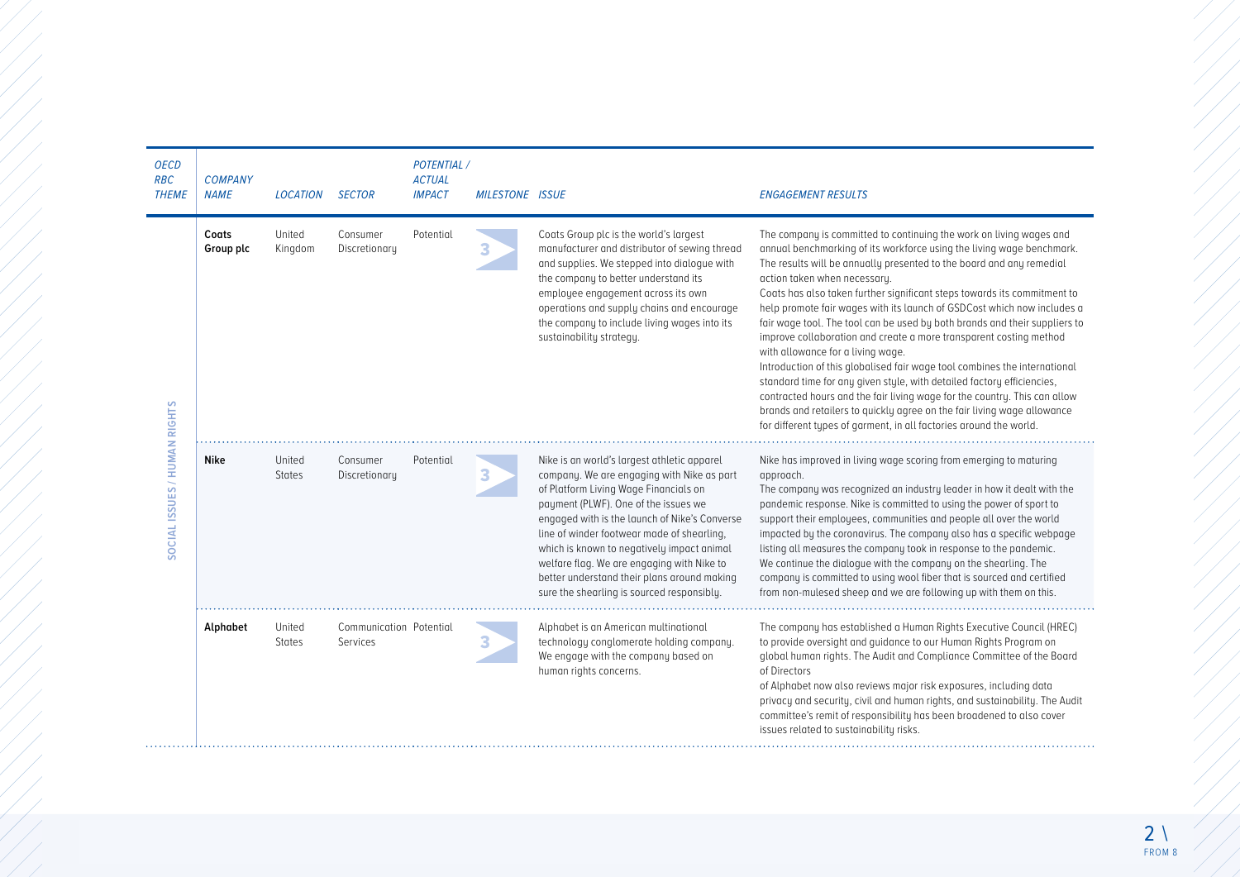| <b>OECD</b><br><b>RBC</b><br><b>THEME</b> | <b>COMPANY</b><br><b>NAME</b> | <b>LOCATION</b>         | <b>SECTOR</b>                       | <b>POTENTIAL /</b><br><b>ACTUAL</b><br><b>IMPACT</b> | <b>MILESTONE ISSUE</b> |                                                                                                                                                                                                                                                                                                                                                                                                                                                                    | <b>ENGAGEMENT RESULTS</b>                                                                                                                                                                                                                                                                                                                                                                                                                                                                                                                                                                                                                                                                                                                                                                                                                                                                                                                                                                 |
|-------------------------------------------|-------------------------------|-------------------------|-------------------------------------|------------------------------------------------------|------------------------|--------------------------------------------------------------------------------------------------------------------------------------------------------------------------------------------------------------------------------------------------------------------------------------------------------------------------------------------------------------------------------------------------------------------------------------------------------------------|-------------------------------------------------------------------------------------------------------------------------------------------------------------------------------------------------------------------------------------------------------------------------------------------------------------------------------------------------------------------------------------------------------------------------------------------------------------------------------------------------------------------------------------------------------------------------------------------------------------------------------------------------------------------------------------------------------------------------------------------------------------------------------------------------------------------------------------------------------------------------------------------------------------------------------------------------------------------------------------------|
| SOCIAL ISSUES / HUMAN RIGHTS              | Coats<br>Group plc            | United<br>Kingdom       | Consumer<br>Discretionary           | Potential                                            | 3                      | Coats Group plc is the world's largest<br>manufacturer and distributor of sewing thread<br>and supplies. We stepped into dialogue with<br>the company to better understand its<br>employee engagement across its own<br>operations and supply chains and encourage<br>the company to include living wages into its<br>sustainability strategy.                                                                                                                     | The company is committed to continuing the work on living wages and<br>annual benchmarking of its workforce using the living wage benchmark.<br>The results will be annually presented to the board and any remedial<br>action taken when necessary.<br>Coats has also taken further significant steps towards its commitment to<br>help promote fair wages with its launch of GSDCost which now includes a<br>fair wage tool. The tool can be used by both brands and their suppliers to<br>improve collaboration and create a more transparent costing method<br>with allowance for a living wage.<br>Introduction of this globalised fair wage tool combines the international<br>standard time for any given style, with detailed factory efficiencies,<br>contracted hours and the fair living wage for the country. This can allow<br>brands and retailers to quickly agree on the fair living wage allowance<br>for different types of garment, in all factories around the world. |
|                                           | <b>Nike</b>                   | United<br><b>States</b> | Consumer<br>Discretionary           | Potential                                            | 3                      | Nike is an world's largest athletic apparel<br>company. We are engaging with Nike as part<br>of Platform Living Wage Financials on<br>payment (PLWF). One of the issues we<br>engaged with is the launch of Nike's Converse<br>line of winder footwear made of shearling,<br>which is known to negatively impact animal<br>welfare flag. We are engaging with Nike to<br>better understand their plans around making<br>sure the shearling is sourced responsibly. | Nike has improved in living wage scoring from emerging to maturing<br>approach.<br>The company was recognized an industry leader in how it dealt with the<br>pandemic response. Nike is committed to using the power of sport to<br>support their employees, communities and people all over the world<br>impacted by the coronavirus. The company also has a specific webpage<br>listing all measures the company took in response to the pandemic.<br>We continue the dialogue with the company on the shearling. The<br>company is committed to using wool fiber that is sourced and certified<br>from non-mulesed sheep and we are following up with them on this.                                                                                                                                                                                                                                                                                                                    |
|                                           | Alphabet                      | United<br><b>States</b> | Communication Potential<br>Services |                                                      | 3                      | Alphabet is an American multinational<br>technology conglomerate holding company.<br>We engage with the company based on<br>human rights concerns.                                                                                                                                                                                                                                                                                                                 | The company has established a Human Rights Executive Council (HREC)<br>to provide oversight and quidance to our Human Rights Program on<br>global human rights. The Audit and Compliance Committee of the Board<br>of Directors<br>of Alphabet now also reviews major risk exposures, including data<br>privacy and security, civil and human rights, and sustainability. The Audit<br>committee's remit of responsibility has been broadened to also cover<br>issues related to sustainability risks.                                                                                                                                                                                                                                                                                                                                                                                                                                                                                    |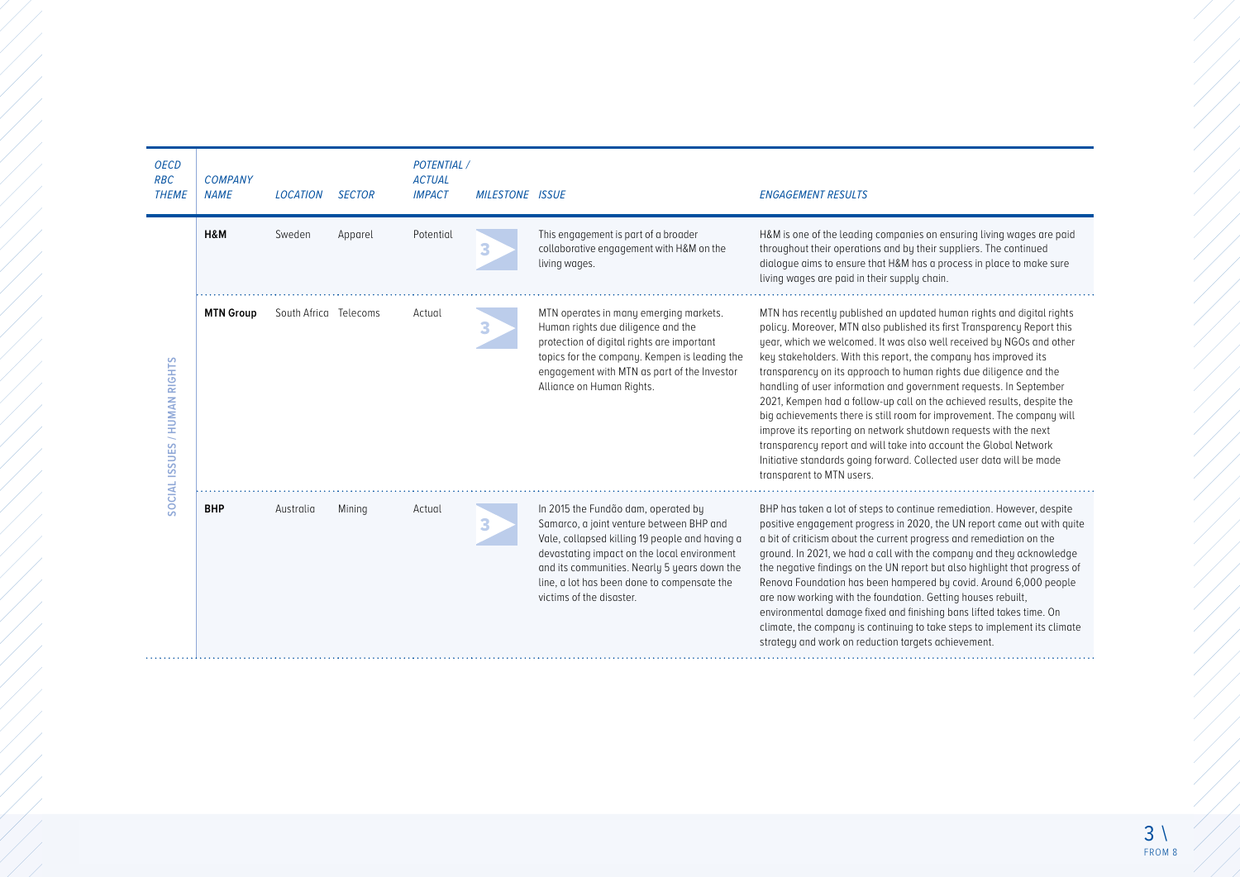| <b>OECD</b><br><b>RBC</b><br><b>THEME</b> | <b>COMPANY</b><br><b>NAME</b> | <b>LOCATION</b>       | <b>SECTOR</b> | <b>POTENTIAL</b> /<br><b>ACTUAL</b><br><b>IMPACT</b> | <b>MILESTONE ISSUE</b> |                                                                                                                                                                                                                                                                                                             | <b>ENGAGEMENT RESULTS</b>                                                                                                                                                                                                                                                                                                                                                                                                                                                                                                                                                                                                                                                                                                                                                                                                                  |
|-------------------------------------------|-------------------------------|-----------------------|---------------|------------------------------------------------------|------------------------|-------------------------------------------------------------------------------------------------------------------------------------------------------------------------------------------------------------------------------------------------------------------------------------------------------------|--------------------------------------------------------------------------------------------------------------------------------------------------------------------------------------------------------------------------------------------------------------------------------------------------------------------------------------------------------------------------------------------------------------------------------------------------------------------------------------------------------------------------------------------------------------------------------------------------------------------------------------------------------------------------------------------------------------------------------------------------------------------------------------------------------------------------------------------|
| SOCIAL ISSUES / HUMAN RIGHTS              | H&M                           | Sweden                | Apparel       | Potential                                            | 3                      | This engagement is part of a broader<br>collaborative engagement with H&M on the<br>living wages.                                                                                                                                                                                                           | H&M is one of the leading companies on ensuring living wages are paid<br>throughout their operations and by their suppliers. The continued<br>dialogue aims to ensure that H&M has a process in place to make sure<br>living wages are paid in their supply chain.                                                                                                                                                                                                                                                                                                                                                                                                                                                                                                                                                                         |
|                                           | <b>MTN Group</b>              | South Africa Telecoms |               | Actual                                               | 3                      | MTN operates in many emerging markets.<br>Human rights due diligence and the<br>protection of digital rights are important<br>topics for the company. Kempen is leading the<br>engagement with MTN as part of the Investor<br>Alliance on Human Rights.                                                     | MTN has recently published an updated human rights and digital rights<br>policy. Moreover, MTN also published its first Transparency Report this<br>year, which we welcomed. It was also well received by NGOs and other<br>key stakeholders. With this report, the company has improved its<br>transparency on its approach to human rights due diligence and the<br>handling of user information and government requests. In September<br>2021, Kempen had a follow-up call on the achieved results, despite the<br>big achievements there is still room for improvement. The company will<br>improve its reporting on network shutdown requests with the next<br>transparency report and will take into account the Global Network<br>Initiative standards going forward. Collected user data will be made<br>transparent to MTN users. |
|                                           | <b>BHP</b>                    | Australia             | Mining        | Actual                                               | 3                      | In 2015 the Fundão dam, operated by<br>Samarco, a joint venture between BHP and<br>Vale, collapsed killing 19 people and having a<br>devastating impact on the local environment<br>and its communities. Nearly 5 years down the<br>line, a lot has been done to compensate the<br>victims of the disaster. | BHP has taken a lot of steps to continue remediation. However, despite<br>positive engagement progress in 2020, the UN report came out with quite<br>a bit of criticism about the current progress and remediation on the<br>ground. In 2021, we had a call with the company and they acknowledge<br>the negative findings on the UN report but also highlight that progress of<br>Renova Foundation has been hampered by covid. Around 6,000 people<br>are now working with the foundation. Getting houses rebuilt,<br>environmental damage fixed and finishing bans lifted takes time. On<br>climate, the company is continuing to take steps to implement its climate<br>strategy and work on reduction targets achievement.                                                                                                            |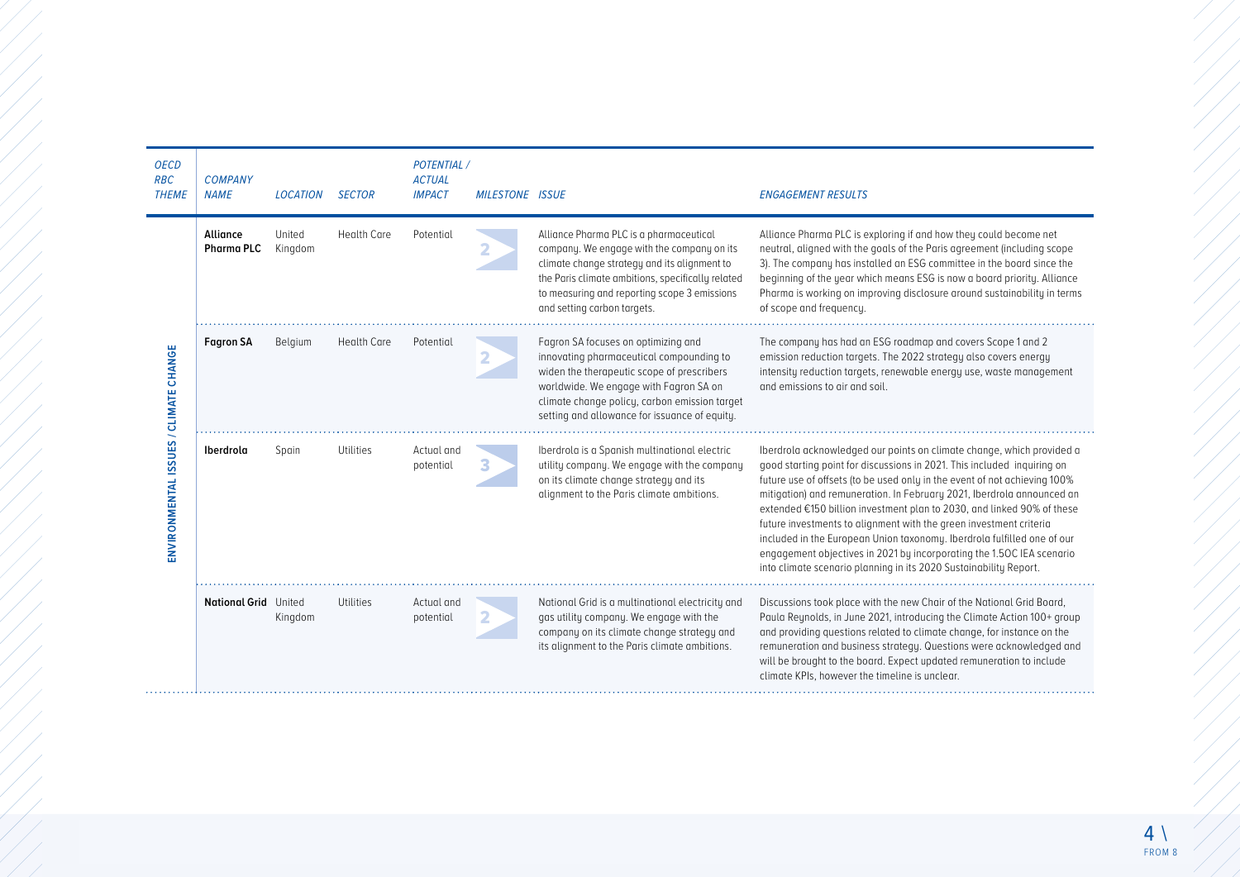| <b>OECD</b><br><b>RBC</b><br><b>THEME</b> | <b>COMPANY</b><br><b>NAME</b> | <b>LOCATION</b>   | <b>SECTOR</b>      | <b>POTENTIAL</b> /<br><b>ACTUAL</b><br><b>IMPACT</b> | <b>MILESTONE ISSUE</b> |                                                                                                                                                                                                                                                                           | <b>ENGAGEMENT RESULTS</b>                                                                                                                                                                                                                                                                                                                                                                                                                                                                                                                                                                                                                                                        |
|-------------------------------------------|-------------------------------|-------------------|--------------------|------------------------------------------------------|------------------------|---------------------------------------------------------------------------------------------------------------------------------------------------------------------------------------------------------------------------------------------------------------------------|----------------------------------------------------------------------------------------------------------------------------------------------------------------------------------------------------------------------------------------------------------------------------------------------------------------------------------------------------------------------------------------------------------------------------------------------------------------------------------------------------------------------------------------------------------------------------------------------------------------------------------------------------------------------------------|
|                                           | Alliance<br><b>Pharma PLC</b> | United<br>Kingdom | <b>Health Care</b> | Potential                                            | 2                      | Alliance Pharma PLC is a pharmaceutical<br>company. We engage with the company on its<br>climate change strategy and its alignment to<br>the Paris climate ambitions, specifically related<br>to measuring and reporting scope 3 emissions<br>and setting carbon targets. | Alliance Pharma PLC is exploring if and how they could become net<br>neutral, aligned with the goals of the Paris agreement (including scope<br>3). The company has installed an ESG committee in the board since the<br>beginning of the year which means ESG is now a board priority. Alliance<br>Pharma is working on improving disclosure around sustainability in terms<br>of scope and frequency.                                                                                                                                                                                                                                                                          |
|                                           | <b>Fagron SA</b>              | Belgium           | <b>Health Care</b> | Potential                                            | 2                      | Fagron SA focuses on optimizing and<br>innovating pharmaceutical compounding to<br>widen the therapeutic scope of prescribers<br>worldwide. We engage with Fagron SA on<br>climate change policy, carbon emission target<br>setting and allowance for issuance of equity. | The company has had an ESG roadmap and covers Scope 1 and 2<br>emission reduction targets. The 2022 strategy also covers energy<br>intensity reduction targets, renewable energy use, waste management<br>and emissions to air and soil.                                                                                                                                                                                                                                                                                                                                                                                                                                         |
| ENVIRONMENTAL ISSUES / CLIMATE CHANGE     | Iberdrola                     | Spain             | Utilities          | Actual and<br>potential                              | З                      | Iberdrola is a Spanish multinational electric<br>utility company. We engage with the company<br>on its climate change strategy and its<br>alignment to the Paris climate ambitions.                                                                                       | Iberdrola acknowledged our points on climate change, which provided a<br>good starting point for discussions in 2021. This included inquiring on<br>future use of offsets (to be used only in the event of not achieving 100%<br>mitigation) and remuneration. In February 2021, Iberdrola announced an<br>extended €150 billion investment plan to 2030, and linked 90% of these<br>future investments to alignment with the green investment criteria<br>included in the European Union taxonomy. Iberdrola fulfilled one of our<br>engagement objectives in 2021 by incorporating the 1.50C IEA scenario<br>into climate scenario planning in its 2020 Sustainability Report. |
|                                           | <b>National Grid</b> United   | Kingdom           | <b>Utilities</b>   | Actual and<br>potential                              | 2                      | National Grid is a multinational electricity and<br>gas utility company. We engage with the<br>company on its climate change strategy and<br>its alignment to the Paris climate ambitions.                                                                                | Discussions took place with the new Chair of the National Grid Board,<br>Paula Reynolds, in June 2021, introducing the Climate Action 100+ group<br>and providing questions related to climate change, for instance on the<br>remuneration and business strategy. Questions were acknowledged and<br>will be brought to the board. Expect updated remuneration to include<br>climate KPIs, however the timeline is unclear.                                                                                                                                                                                                                                                      |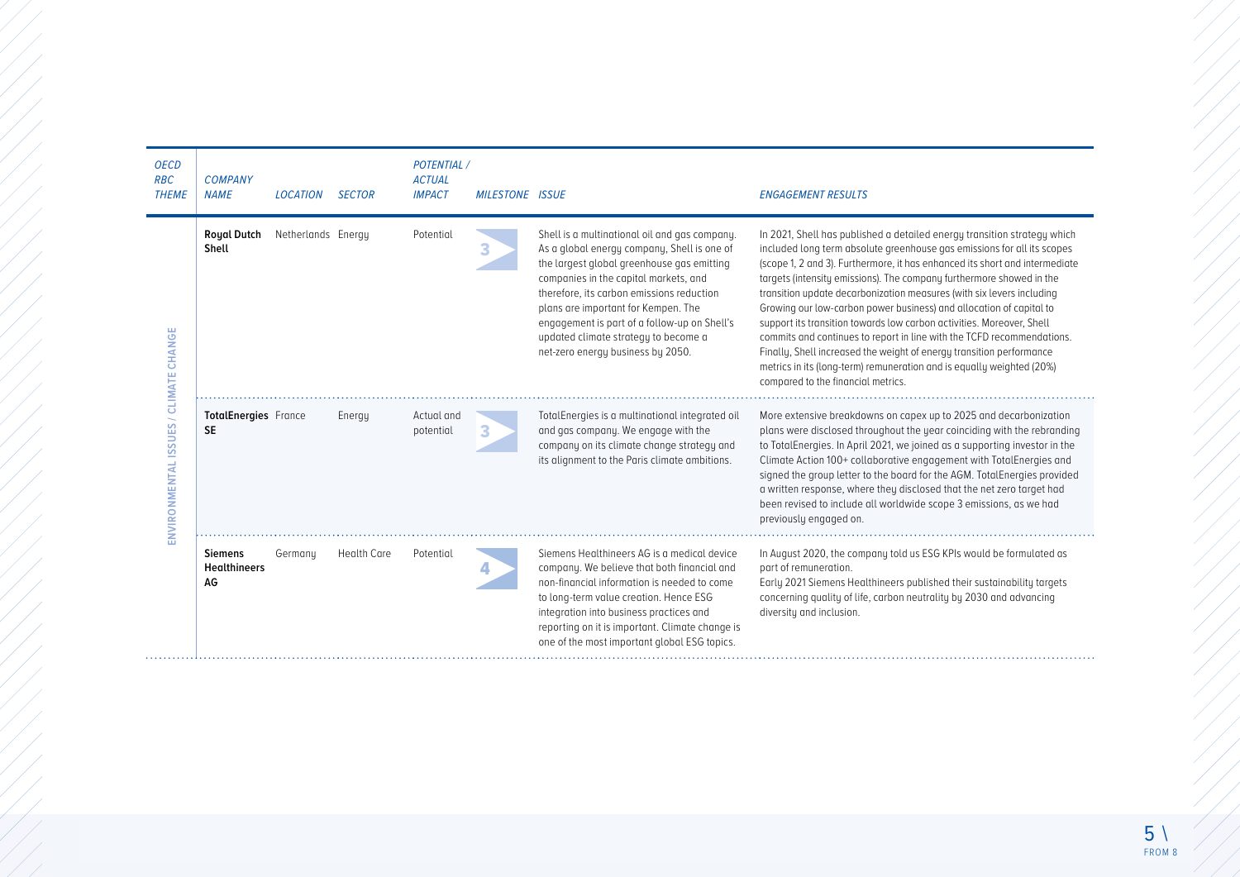| <b>OECD</b><br><b>RBC</b><br><b>THEME</b> | <b>COMPANY</b><br><b>NAME</b>               | <b>LOCATION</b>    | <b>SECTOR</b>      | <b>POTENTIAL</b> /<br><b>ACTUAL</b><br><b>IMPACT</b> | <b>MILESTONE ISSUE</b> |                                                                                                                                                                                                                                                                                                                                                                                                      | <b>ENGAGEMENT RESULTS</b>                                                                                                                                                                                                                                                                                                                                                                                                                                                                                                                                                                                                                                                                                                                                                                            |
|-------------------------------------------|---------------------------------------------|--------------------|--------------------|------------------------------------------------------|------------------------|------------------------------------------------------------------------------------------------------------------------------------------------------------------------------------------------------------------------------------------------------------------------------------------------------------------------------------------------------------------------------------------------------|------------------------------------------------------------------------------------------------------------------------------------------------------------------------------------------------------------------------------------------------------------------------------------------------------------------------------------------------------------------------------------------------------------------------------------------------------------------------------------------------------------------------------------------------------------------------------------------------------------------------------------------------------------------------------------------------------------------------------------------------------------------------------------------------------|
| ENVIRONMENTAL ISSUES / CLIMATE CHANGE     | <b>Royal Dutch</b><br>Shell                 | Netherlands Energy |                    | Potential                                            | 3                      | Shell is a multinational oil and gas company.<br>As a global energy company, Shell is one of<br>the largest global greenhouse gas emitting<br>companies in the capital markets, and<br>therefore, its carbon emissions reduction<br>plans are important for Kempen. The<br>engagement is part of a follow-up on Shell's<br>updated climate strategy to become a<br>net-zero energy business by 2050. | In 2021, Shell has published a detailed energy transition strategy which<br>included long term absolute greenhouse gas emissions for all its scopes<br>(scope 1, 2 and 3). Furthermore, it has enhanced its short and intermediate<br>targets (intensity emissions). The company furthermore showed in the<br>transition update decarbonization measures (with six levers including<br>Growing our low-carbon power business) and allocation of capital to<br>support its transition towards low carbon activities. Moreover, Shell<br>commits and continues to report in line with the TCFD recommendations.<br>Finally, Shell increased the weight of energy transition performance<br>metrics in its (long-term) remuneration and is equally weighted (20%)<br>compared to the financial metrics. |
|                                           | <b>TotalEnergies</b> France<br><b>SE</b>    |                    | Energy             | Actual and<br>potential                              | З                      | TotalEnergies is a multinational integrated oil<br>and gas company. We engage with the<br>company on its climate change strategy and<br>its alignment to the Paris climate ambitions.                                                                                                                                                                                                                | More extensive breakdowns on capex up to 2025 and decarbonization<br>plans were disclosed throughout the year coinciding with the rebranding<br>to TotalEnergies. In April 2021, we joined as a supporting investor in the<br>Climate Action 100+ collaborative engagement with TotalEnergies and<br>signed the group letter to the board for the AGM. TotalEnergies provided<br>a written response, where they disclosed that the net zero target had<br>been revised to include all worldwide scope 3 emissions, as we had<br>previously engaged on.                                                                                                                                                                                                                                               |
|                                           | <b>Siemens</b><br><b>Healthineers</b><br>AG | Germany            | <b>Health Care</b> | Potential                                            |                        | Siemens Healthineers AG is a medical device<br>company. We believe that both financial and<br>non-financial information is needed to come<br>to long-term value creation. Hence ESG<br>integration into business practices and<br>reporting on it is important. Climate change is<br>one of the most important global ESG topics.                                                                    | In August 2020, the company told us ESG KPIs would be formulated as<br>part of remuneration.<br>Early 2021 Siemens Healthineers published their sustainability targets<br>concerning quality of life, carbon neutrality by 2030 and advancing<br>diversity and inclusion.                                                                                                                                                                                                                                                                                                                                                                                                                                                                                                                            |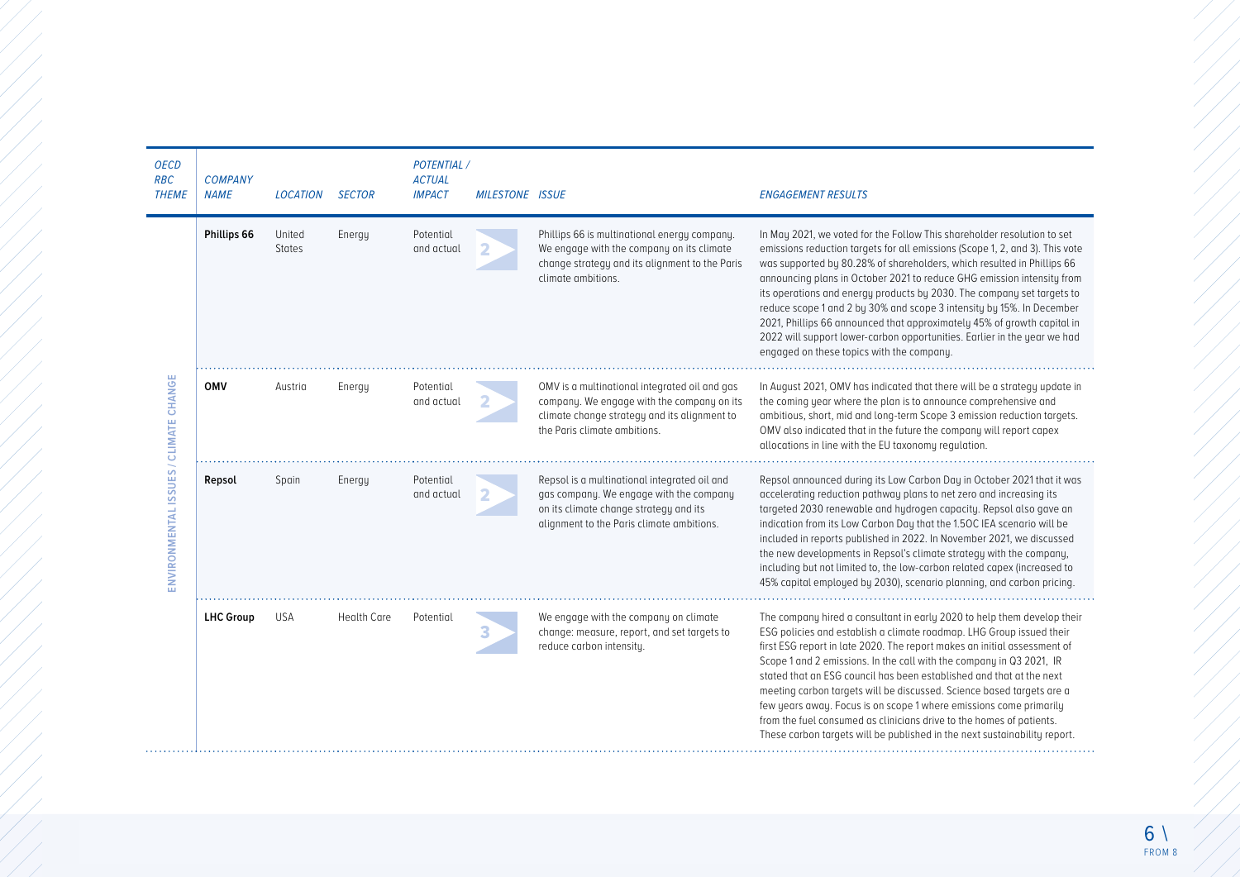| <b>OECD</b><br><b>RBC</b><br><b>THEME</b> | <b>COMPANY</b><br><b>NAME</b> | <b>LOCATION</b>         | <b>SECTOR</b>      | <b>POTENTIAL /</b><br><b>ACTUAL</b><br><b>IMPACT</b> | <b>MILESTONE ISSUE</b> |                                                                                                                                                                                | <b>ENGAGEMENT RESULTS</b>                                                                                                                                                                                                                                                                                                                                                                                                                                                                                                                                                                                                                                                       |
|-------------------------------------------|-------------------------------|-------------------------|--------------------|------------------------------------------------------|------------------------|--------------------------------------------------------------------------------------------------------------------------------------------------------------------------------|---------------------------------------------------------------------------------------------------------------------------------------------------------------------------------------------------------------------------------------------------------------------------------------------------------------------------------------------------------------------------------------------------------------------------------------------------------------------------------------------------------------------------------------------------------------------------------------------------------------------------------------------------------------------------------|
| ENVIRONMENTAL ISSUES / CLIMATE CHANGE     | Phillips 66                   | United<br><b>States</b> | Energy             | Potential<br>and actual                              | 2                      | Phillips 66 is multinational energy company.<br>We engage with the company on its climate<br>change strategy and its alignment to the Paris<br>climate ambitions.              | In May 2021, we voted for the Follow This shareholder resolution to set<br>emissions reduction targets for all emissions (Scope 1, 2, and 3). This vote<br>was supported by 80.28% of shareholders, which resulted in Phillips 66<br>announcing plans in October 2021 to reduce GHG emission intensity from<br>its operations and energy products by 2030. The company set targets to<br>reduce scope 1 and 2 by 30% and scope 3 intensity by 15%. In December<br>2021, Phillips 66 announced that approximately 45% of growth capital in<br>2022 will support lower-carbon opportunities. Earlier in the year we had<br>engaged on these topics with the company.              |
|                                           | <b>OMV</b>                    | Austria                 | Energy             | Potential<br>and actual                              | 2                      | OMV is a multinational integrated oil and gas<br>company. We engage with the company on its<br>climate change strategy and its alignment to<br>the Paris climate ambitions.    | In August 2021, OMV has indicated that there will be a strategy update in<br>the coming year where the plan is to announce comprehensive and<br>ambitious, short, mid and long-term Scope 3 emission reduction targets.<br>OMV also indicated that in the future the company will report capex<br>allocations in line with the EU taxonomy regulation.                                                                                                                                                                                                                                                                                                                          |
|                                           | Repsol                        | Spain                   | Energy             | Potential<br>and actual                              |                        | Repsol is a multinational integrated oil and<br>gas company. We engage with the company<br>on its climate change strategy and its<br>alignment to the Paris climate ambitions. | Repsol announced during its Low Carbon Day in October 2021 that it was<br>accelerating reduction pathway plans to net zero and increasing its<br>targeted 2030 renewable and hydrogen capacity. Repsol also gave an<br>indication from its Low Carbon Day that the 1.50C IEA scenario will be<br>included in reports published in 2022. In November 2021, we discussed<br>the new developments in Repsol's climate strategy with the company,<br>including but not limited to, the low-carbon related capex (increased to<br>45% capital employed by 2030), scenario planning, and carbon pricing.                                                                              |
|                                           | <b>LHC Group</b>              | <b>USA</b>              | <b>Health Care</b> | Potential                                            | 3                      | We engage with the company on climate<br>change: measure, report, and set targets to<br>reduce carbon intensity.                                                               | The company hired a consultant in early 2020 to help them develop their<br>ESG policies and establish a climate roadmap. LHG Group issued their<br>first ESG report in late 2020. The report makes an initial assessment of<br>Scope 1 and 2 emissions. In the call with the company in Q3 2021, IR<br>stated that an ESG council has been established and that at the next<br>meeting carbon targets will be discussed. Science based targets are a<br>few years away. Focus is on scope 1 where emissions come primarily<br>from the fuel consumed as clinicians drive to the homes of patients.<br>These carbon targets will be published in the next sustainability report. |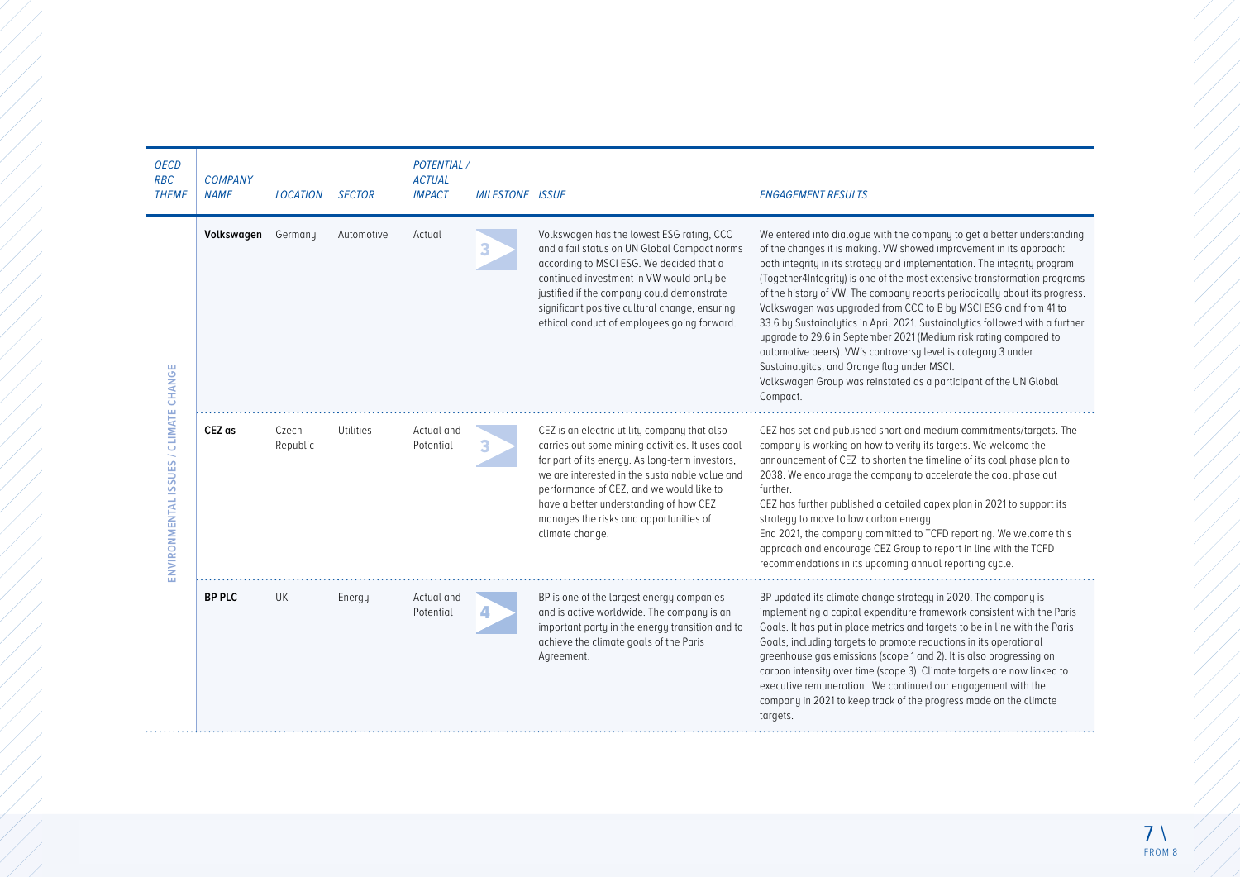| <b>OECD</b><br><b>RBC</b><br><b>THEME</b> | <b>COMPANY</b><br><b>NAME</b> | <b>LOCATION</b>   | <b>SECTOR</b> | <b>POTENTIAL /</b><br><b>ACTUAL</b><br><b>IMPACT</b> | <b>MILESTONE ISSUE</b> |                                                                                                                                                                                                                                                                                                                                                          | <b>ENGAGEMENT RESULTS</b>                                                                                                                                                                                                                                                                                                                                                                                                                                                                                                                                                                                                                                                                                                                                                                                       |
|-------------------------------------------|-------------------------------|-------------------|---------------|------------------------------------------------------|------------------------|----------------------------------------------------------------------------------------------------------------------------------------------------------------------------------------------------------------------------------------------------------------------------------------------------------------------------------------------------------|-----------------------------------------------------------------------------------------------------------------------------------------------------------------------------------------------------------------------------------------------------------------------------------------------------------------------------------------------------------------------------------------------------------------------------------------------------------------------------------------------------------------------------------------------------------------------------------------------------------------------------------------------------------------------------------------------------------------------------------------------------------------------------------------------------------------|
| ENVIRONMENTAL ISSUES / CLIMATE CHANGE     | Volkswagen                    | Germany           | Automotive    | Actual                                               | 3                      | Volkswagen has the lowest ESG rating, CCC<br>and a fail status on UN Global Compact norms<br>according to MSCI ESG. We decided that a<br>continued investment in VW would only be<br>justified if the company could demonstrate<br>significant positive cultural change, ensuring<br>ethical conduct of employees going forward.                         | We entered into dialogue with the company to get a better understanding<br>of the changes it is making. VW showed improvement in its approach:<br>both integrity in its strategy and implementation. The integrity program<br>(Together4Integrity) is one of the most extensive transformation programs<br>of the history of VW. The company reports periodically about its progress.<br>Volkswagen was upgraded from CCC to B by MSCI ESG and from 41 to<br>33.6 by Sustainalytics in April 2021. Sustainalytics followed with a further<br>upgrade to 29.6 in September 2021 (Medium risk rating compared to<br>automotive peers). VW's controversy level is category 3 under<br>Sustainalyitcs, and Orange flag under MSCI.<br>Volkswagen Group was reinstated as a participant of the UN Global<br>Compact. |
|                                           | CEZ as                        | Czech<br>Republic | Utilities     | Actual and<br>Potential                              | З                      | CEZ is an electric utility company that also<br>carries out some mining activities. It uses coal<br>for part of its energy. As long-term investors,<br>we are interested in the sustainable value and<br>performance of CEZ, and we would like to<br>have a better understanding of how CEZ<br>manages the risks and opportunities of<br>climate change. | CEZ has set and published short and medium commitments/targets. The<br>company is working on how to verify its targets. We welcome the<br>announcement of CEZ to shorten the timeline of its coal phase plan to<br>2038. We encourage the company to accelerate the coal phase out<br>further.<br>CEZ has further published a detailed capex plan in 2021 to support its<br>strategy to move to low carbon energy.<br>End 2021, the company committed to TCFD reporting. We welcome this<br>approach and encourage CEZ Group to report in line with the TCFD<br>recommendations in its upcoming annual reporting cycle.                                                                                                                                                                                         |
|                                           | <b>BP PLC</b>                 | <b>UK</b>         | Energy        | Actual and<br>Potential                              | 4                      | BP is one of the largest energy companies<br>and is active worldwide. The company is an<br>important party in the energy transition and to<br>achieve the climate goals of the Paris<br>Agreement.                                                                                                                                                       | BP updated its climate change strategy in 2020. The company is<br>implementing a capital expenditure framework consistent with the Paris<br>Goals. It has put in place metrics and targets to be in line with the Paris<br>Goals, including targets to promote reductions in its operational<br>greenhouse gas emissions (scope 1 and 2). It is also progressing on<br>carbon intensity over time (scope 3). Climate targets are now linked to<br>executive remuneration. We continued our engagement with the<br>company in 2021 to keep track of the progress made on the climate<br>targets.                                                                                                                                                                                                                 |